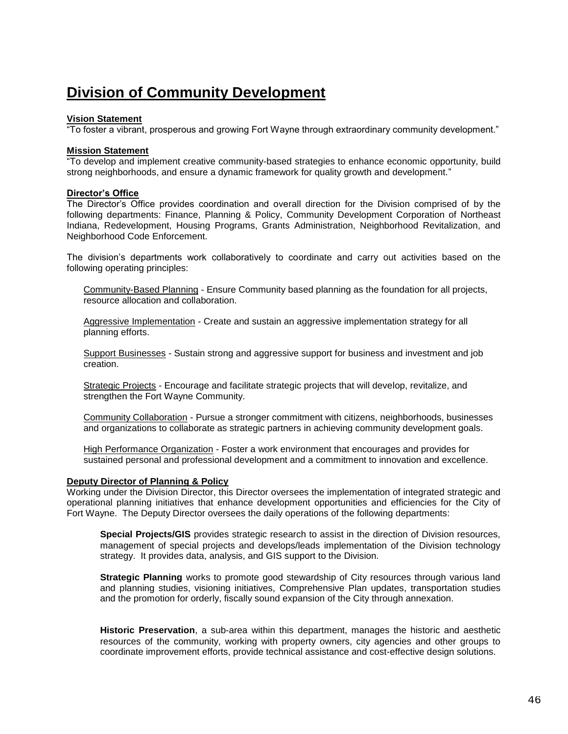# **Division of Community Development**

# **Vision Statement**

"To foster a vibrant, prosperous and growing Fort Wayne through extraordinary community development."

## **Mission Statement**

"To develop and implement creative community-based strategies to enhance economic opportunity, build strong neighborhoods, and ensure a dynamic framework for quality growth and development."

# **Director's Office**

The Director's Office provides coordination and overall direction for the Division comprised of by the following departments: Finance, Planning & Policy, Community Development Corporation of Northeast Indiana, Redevelopment, Housing Programs, Grants Administration, Neighborhood Revitalization, and Neighborhood Code Enforcement.

The division's departments work collaboratively to coordinate and carry out activities based on the following operating principles:

Community-Based Planning - Ensure Community based planning as the foundation for all projects, resource allocation and collaboration.

Aggressive Implementation - Create and sustain an aggressive implementation strategy for all planning efforts.

Support Businesses - Sustain strong and aggressive support for business and investment and job creation.

Strategic Projects - Encourage and facilitate strategic projects that will develop, revitalize, and strengthen the Fort Wayne Community.

Community Collaboration - Pursue a stronger commitment with citizens, neighborhoods, businesses and organizations to collaborate as strategic partners in achieving community development goals.

High Performance Organization - Foster a work environment that encourages and provides for sustained personal and professional development and a commitment to innovation and excellence.

#### **Deputy Director of Planning & Policy**

Working under the Division Director, this Director oversees the implementation of integrated strategic and operational planning initiatives that enhance development opportunities and efficiencies for the City of Fort Wayne. The Deputy Director oversees the daily operations of the following departments:

**Special Projects/GIS** provides strategic research to assist in the direction of Division resources, management of special projects and develops/leads implementation of the Division technology strategy. It provides data, analysis, and GIS support to the Division.

**Strategic Planning** works to promote good stewardship of City resources through various land and planning studies, visioning initiatives, Comprehensive Plan updates, transportation studies and the promotion for orderly, fiscally sound expansion of the City through annexation.

**Historic Preservation**, a sub-area within this department, manages the historic and aesthetic resources of the community, working with property owners, city agencies and other groups to coordinate improvement efforts, provide technical assistance and cost-effective design solutions.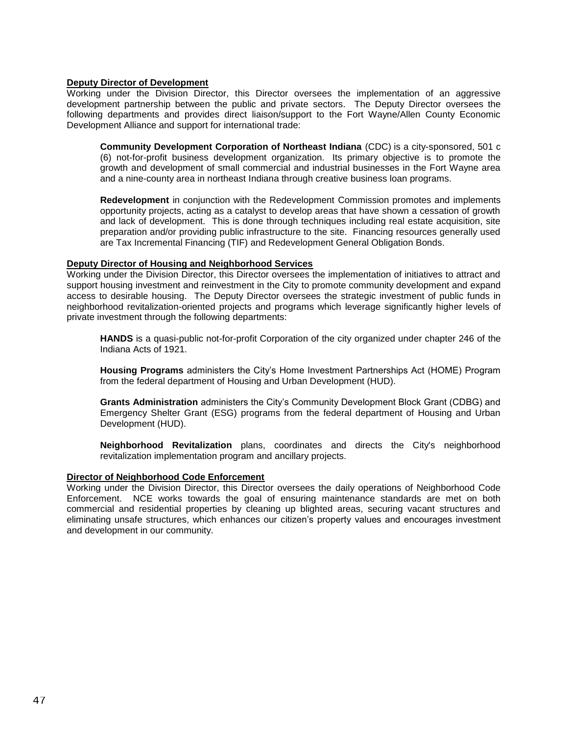#### **Deputy Director of Development**

Working under the Division Director, this Director oversees the implementation of an aggressive development partnership between the public and private sectors. The Deputy Director oversees the following departments and provides direct liaison/support to the Fort Wayne/Allen County Economic Development Alliance and support for international trade:

**Community Development Corporation of Northeast Indiana** (CDC) is a city-sponsored, 501 c (6) not-for-profit business development organization. Its primary objective is to promote the growth and development of small commercial and industrial businesses in the Fort Wayne area and a nine-county area in northeast Indiana through creative business loan programs.

**Redevelopment** in conjunction with the Redevelopment Commission promotes and implements opportunity projects, acting as a catalyst to develop areas that have shown a cessation of growth and lack of development. This is done through techniques including real estate acquisition, site preparation and/or providing public infrastructure to the site. Financing resources generally used are Tax Incremental Financing (TIF) and Redevelopment General Obligation Bonds.

## **Deputy Director of Housing and Neighborhood Services**

Working under the Division Director, this Director oversees the implementation of initiatives to attract and support housing investment and reinvestment in the City to promote community development and expand access to desirable housing. The Deputy Director oversees the strategic investment of public funds in neighborhood revitalization-oriented projects and programs which leverage significantly higher levels of private investment through the following departments:

**HANDS** is a quasi-public not-for-profit Corporation of the city organized under chapter 246 of the Indiana Acts of 1921.

**Housing Programs** administers the City's Home Investment Partnerships Act (HOME) Program from the federal department of Housing and Urban Development (HUD).

**Grants Administration** administers the City's Community Development Block Grant (CDBG) and Emergency Shelter Grant (ESG) programs from the federal department of Housing and Urban Development (HUD).

**Neighborhood Revitalization** plans, coordinates and directs the City's neighborhood revitalization implementation program and ancillary projects.

#### **Director of Neighborhood Code Enforcement**

Working under the Division Director, this Director oversees the daily operations of Neighborhood Code Enforcement. NCE works towards the goal of ensuring maintenance standards are met on both commercial and residential properties by cleaning up blighted areas, securing vacant structures and eliminating unsafe structures, which enhances our citizen's property values and encourages investment and development in our community.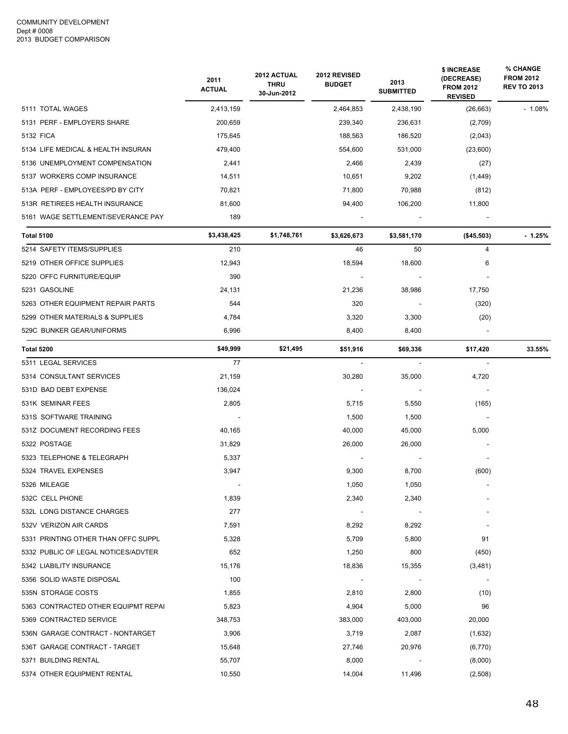|                                     | 2011<br><b>ACTUAL</b> | 2012 ACTUAL<br><b>THRU</b><br>30-Jun-2012 | 2012 REVISED<br><b>BUDGET</b> | 2013<br><b>SUBMITTED</b> | \$ INCREASE<br>(DECREASE)<br><b>FROM 2012</b><br><b>REVISED</b> | % CHANGE<br><b>FROM 2012</b><br><b>REV TO 2013</b> |
|-------------------------------------|-----------------------|-------------------------------------------|-------------------------------|--------------------------|-----------------------------------------------------------------|----------------------------------------------------|
| 5111 TOTAL WAGES                    | 2,413,159             |                                           | 2,464,853                     | 2,438,190                | (26, 663)                                                       | $-1.08%$                                           |
| 5131 PERF - EMPLOYERS SHARE         | 200,659               |                                           | 239,340                       | 236,631                  | (2,709)                                                         |                                                    |
| 5132 FICA                           | 175,645               |                                           | 188,563                       | 186,520                  | (2,043)                                                         |                                                    |
| 5134 LIFE MEDICAL & HEALTH INSURAN  | 479,400               |                                           | 554,600                       | 531,000                  | (23,600)                                                        |                                                    |
| 5136 UNEMPLOYMENT COMPENSATION      | 2,441                 |                                           | 2,466                         | 2,439                    | (27)                                                            |                                                    |
| 5137 WORKERS COMP INSURANCE         | 14,511                |                                           | 10.651                        | 9,202                    | (1, 449)                                                        |                                                    |
| 513A PERF - EMPLOYEES/PD BY CITY    | 70,821                |                                           | 71,800                        | 70,988                   | (812)                                                           |                                                    |
| 513R RETIREES HEALTH INSURANCE      | 81,600                |                                           | 94,400                        | 106,200                  | 11,800                                                          |                                                    |
| 5161 WAGE SETTLEMENT/SEVERANCE PAY  | 189                   |                                           |                               |                          |                                                                 |                                                    |
| <b>Total 5100</b>                   | \$3,438,425           | \$1,748,761                               | \$3,626,673                   | \$3,581,170              | $(*45,503)$                                                     | $-1.25%$                                           |
| 5214 SAFETY ITEMS/SUPPLIES          | 210                   |                                           | 46                            | 50                       | $\overline{4}$                                                  |                                                    |
| 5219 OTHER OFFICE SUPPLIES          | 12,943                |                                           | 18,594                        | 18,600                   | 6                                                               |                                                    |
| 5220 OFFC FURNITURE/EQUIP           | 390                   |                                           |                               |                          |                                                                 |                                                    |
| 5231 GASOLINE                       | 24,131                |                                           | 21,236                        | 38,986                   | 17,750                                                          |                                                    |
| 5263 OTHER EQUIPMENT REPAIR PARTS   | 544                   |                                           | 320                           |                          | (320)                                                           |                                                    |
| 5299 OTHER MATERIALS & SUPPLIES     | 4,784                 |                                           | 3,320                         | 3,300                    | (20)                                                            |                                                    |
| 529C BUNKER GEAR/UNIFORMS           | 6,996                 |                                           | 8,400                         | 8,400                    |                                                                 |                                                    |
| <b>Total 5200</b>                   | \$49,999              | \$21,495                                  | \$51,916                      | \$69,336                 | \$17,420                                                        | 33.55%                                             |
| 5311 LEGAL SERVICES                 | 77                    |                                           | $\mathbf{r}$                  | $\sim$                   | $\sim$                                                          |                                                    |
| 5314 CONSULTANT SERVICES            | 21,159                |                                           | 30,280                        | 35,000                   | 4,720                                                           |                                                    |
| 531D BAD DEBT EXPENSE               | 136,024               |                                           |                               |                          |                                                                 |                                                    |
| 531K SEMINAR FEES                   | 2,805                 |                                           | 5,715                         | 5,550                    | (165)                                                           |                                                    |
| 531S SOFTWARE TRAINING              |                       |                                           | 1,500                         | 1,500                    | $\blacksquare$                                                  |                                                    |
| 531Z DOCUMENT RECORDING FEES        | 40,165                |                                           | 40,000                        | 45,000                   | 5,000                                                           |                                                    |
| 5322 POSTAGE                        | 31,829                |                                           | 26,000                        | 26,000                   |                                                                 |                                                    |
| 5323 TELEPHONE & TELEGRAPH          | 5,337                 |                                           |                               |                          |                                                                 |                                                    |
| 5324 TRAVEL EXPENSES                | 3,947                 |                                           | 9,300                         | 8,700                    | (600)                                                           |                                                    |
| 5326 MILEAGE                        |                       |                                           | 1,050                         | 1,050                    |                                                                 |                                                    |
| 532C CELL PHONE                     | 1,839                 |                                           | 2,340                         | 2,340                    |                                                                 |                                                    |
| 532L LONG DISTANCE CHARGES          | 277                   |                                           |                               |                          |                                                                 |                                                    |
| 532V VERIZON AIR CARDS              | 7,591                 |                                           | 8,292                         | 8,292                    |                                                                 |                                                    |
| 5331 PRINTING OTHER THAN OFFC SUPPL | 5,328                 |                                           | 5,709                         | 5,800                    | 91                                                              |                                                    |
| 5332 PUBLIC OF LEGAL NOTICES/ADVTER | 652                   |                                           | 1,250                         | 800                      | (450)                                                           |                                                    |
| 5342 LIABILITY INSURANCE            | 15,176                |                                           | 18,836                        | 15,355                   | (3,481)                                                         |                                                    |
| 5356 SOLID WASTE DISPOSAL           | 100                   |                                           |                               |                          |                                                                 |                                                    |
| 535N STORAGE COSTS                  | 1,855                 |                                           | 2,810                         | 2,800                    | (10)                                                            |                                                    |
| 5363 CONTRACTED OTHER EQUIPMT REPAI | 5,823                 |                                           | 4,904                         | 5,000                    | 96                                                              |                                                    |
| 5369 CONTRACTED SERVICE             | 348,753               |                                           | 383,000                       | 403,000                  | 20,000                                                          |                                                    |
| 536N GARAGE CONTRACT - NONTARGET    | 3,906                 |                                           | 3,719                         | 2,087                    | (1,632)                                                         |                                                    |
| 536T GARAGE CONTRACT - TARGET       | 15,648                |                                           | 27,746                        | 20,976                   | (6,770)                                                         |                                                    |
| 5371 BUILDING RENTAL                | 55,707                |                                           | 8,000                         |                          | (8,000)                                                         |                                                    |
| 5374 OTHER EQUIPMENT RENTAL         | 10,550                |                                           | 14,004                        | 11,496                   | (2,508)                                                         |                                                    |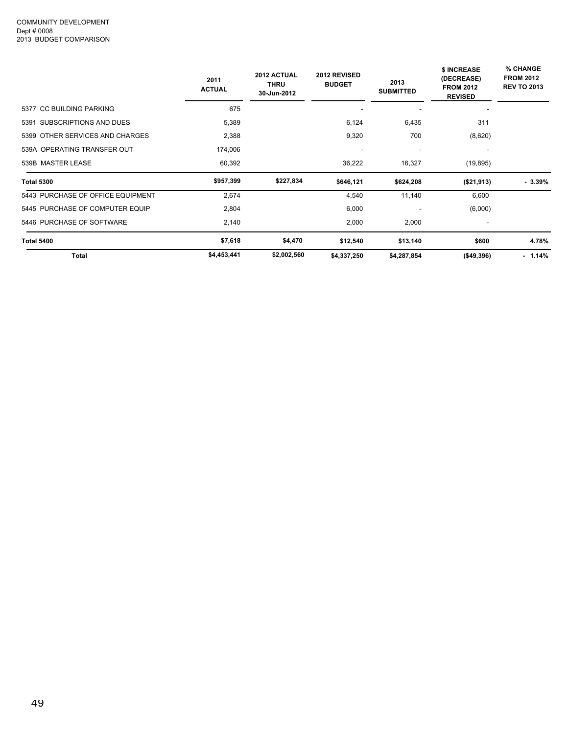|                                   | 2011<br><b>ACTUAL</b> | 2012 ACTUAL<br><b>THRU</b><br>30-Jun-2012 | 2012 REVISED<br><b>BUDGET</b> | 2013<br><b>SUBMITTED</b> | <b>\$ INCREASE</b><br>(DECREASE)<br><b>FROM 2012</b><br><b>REVISED</b> | % CHANGE<br><b>FROM 2012</b><br><b>REV TO 2013</b> |
|-----------------------------------|-----------------------|-------------------------------------------|-------------------------------|--------------------------|------------------------------------------------------------------------|----------------------------------------------------|
| 5377 CC BUILDING PARKING          | 675                   |                                           |                               |                          |                                                                        |                                                    |
| 5391 SUBSCRIPTIONS AND DUES       | 5,389                 |                                           | 6,124                         | 6,435                    | 311                                                                    |                                                    |
| 5399 OTHER SERVICES AND CHARGES   | 2,388                 |                                           | 9,320                         | 700                      | (8,620)                                                                |                                                    |
| 539A OPERATING TRANSFER OUT       | 174,006               |                                           | $\overline{\phantom{a}}$      | ٠                        |                                                                        |                                                    |
| 539B MASTER LEASE                 | 60,392                |                                           | 36,222                        | 16,327                   | (19, 895)                                                              |                                                    |
| <b>Total 5300</b>                 | \$957,399             | \$227,834                                 | \$646,121                     | \$624,208                | (\$21,913)                                                             | $-3.39%$                                           |
| 5443 PURCHASE OF OFFICE EQUIPMENT | 2.674                 |                                           | 4,540                         | 11,140                   | 6,600                                                                  |                                                    |
| 5445 PURCHASE OF COMPUTER EQUIP   | 2,804                 |                                           | 6,000                         |                          | (6,000)                                                                |                                                    |
| 5446 PURCHASE OF SOFTWARE         | 2,140                 |                                           | 2,000                         | 2,000                    |                                                                        |                                                    |
| Total 5400                        | \$7,618               | \$4,470                                   | \$12,540                      | \$13,140                 | \$600                                                                  | 4.78%                                              |
| Total                             | \$4,453,441           | \$2,002,560                               | \$4,337,250                   | \$4,287,854              | ( \$49, 396)                                                           | $-1.14%$                                           |